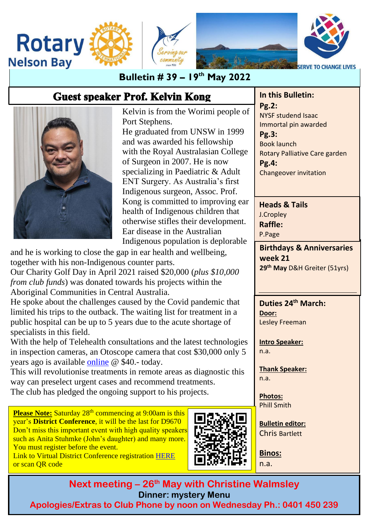

### **Bulletin # 39 – 19 th May 2022**

# **Guest speaker Prof. Kelvin Kong**

Kelvin is from the Worimi people of Port Stephens.

He graduated from UNSW in 1999 and was awarded his fellowship with the Royal Australasian College of Surgeon in 2007. He is now specializing in Paediatric & Adult ENT Surgery. As Australia's first Indigenous surgeon, Assoc. Prof. Kong is committed to improving ear health of Indigenous children that otherwise stifles their development. Ear disease in the Australian Indigenous population is deplorable

and he is working to close the gap in ear health and wellbeing, together with his non-Indigenous counter parts.

Our Charity Golf Day in April 2021 raised \$20,000 (*plus \$10,000 from club funds*) was donated towards his projects within the Aboriginal Communities in Central Australia.

He spoke about the challenges caused by the Covid pandemic that limited his trips to the outback. The waiting list for treatment in a public hospital can be up to 5 years due to the acute shortage of specialists in this field.

With the help of Telehealth consultations and the latest technologies in inspection cameras, an Otoscope camera that cost \$30,000 only 5 years ago is available [online](https://www.amazon.com.au/JulyCrab-Otoscope-Otoscope-Ear-Inspection-Compatible/dp/B09Y1L2QVD/ref=nav_signin?adgrpid=90827623807&gclid=Cj0KCQjwm6KUBhC3ARIsACIwxBhK3JXQILSExi218xZl5ILglZwtSiQmVRkffKzBeE5Ft07Lwoq9LG4aAuLAEALw_wcB&hvadid=591137306282&hvdev=c&hvlocphy=9072235&hvnetw=g&hvqmt=e&hvrand=10726843677744719586&hvtargid=kwd-347620963571&hydadcr=19767_353039&keywords=ear%2Binspection%2Bcamera&qid=1653197255&sr=8-4-spons&spLa=ZW5jcnlwdGVkUXVhbGlmaWVyPUFTR0VPOUhNQzBCOUkmZW5jcnlwdGVkSWQ9QTA5NjAzMDYxVzFRU1pHVlFHMkZOJmVuY3J5cHRlZEFkSWQ9QTEwSk9ZNk8xUEZWN0omd2lkZ2V0TmFtZT1zcF9hdGYmYWN0aW9uPWNsaWNrUmVkaXJlY3QmZG9Ob3RMb2dDbGljaz10cnVl&th=1) @ \$40.- today.

This will revolutionise treatments in remote areas as diagnostic this way can preselect urgent cases and recommend treatments. The club has pledged the ongoing support to his projects.

**Please Note:** Saturday 28<sup>th</sup> commencing at 9:00am is this year's **District Conference**, it will be the last for D9670 Don't miss this important event with high quality speakers such as Anita Stuhmke (John's daughter) and many more. You must register before the event.

Link to Virtual District Conference registration [HERE](https://us02web.zoom.us/meeting/register/tZcld-murzsiHdNUA9L2lFEbMK6VVlbSWDie) or scan QR code



**In this Bulletin: Pg.2:** NYSF studend Isaac Immortal pin awarded

**Pg.3:** Book launch Rotary Palliative Care garden **Pg.4:** Changeover invitation

**Heads & Tails** J.Cropley **Raffle:** P.Page

**Birthdays & Anniversaries week 21 29th May** D&H Greiter (51yrs)

**Duties 24th March: Door:** Lesley Freeman

**Intro Speaker:** n.a.

**Thank Speaker:** n.a.

**Photos:** Phill Smith

**Bulletin editor:** Chris Bartlett

**Binos:** n.a.

**Next meeting – 26 th May with Christine Walmsley Dinner: mystery Menu Apologies/Extras to Club Phone by noon on Wednesday Ph.: 0401 450 239**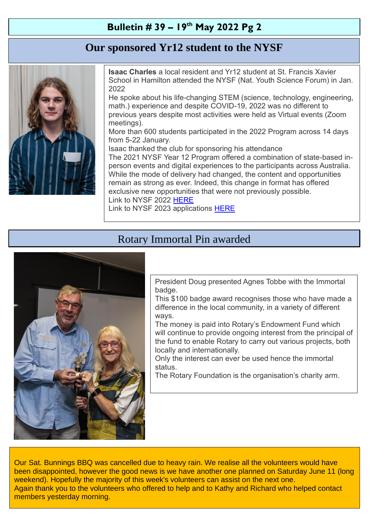#### **Bulletin # 39 – 19 th May 2022 Pg 2**

### **Our sponsored Yr12 student to the NYSF**



<sup>-</sup>

**Isaac Charles** a local resident and Yr12 student at St. Francis Xavier School in Hamilton attended the NYSF (Nat. Youth Science Forum) in Jan. 2022

He spoke about his life-changing STEM (science, technology, engineering, math.) experience and despite COVID-19, 2022 was no different to previous years despite most activities were held as Virtual events (Zoom meetings).

More than 600 students participated in the 2022 Program across 14 days from 5-22 January.

Isaac thanked the club for sponsoring his attendance The 2021 NYSF Year 12 Program offered a combination of state-based inperson events and digital experiences to the participants across Australia. While the mode of delivery had changed, the content and opportunities remain as strong as ever. Indeed, this change in format has offered exclusive new opportunities that were not previously possible. Link to NYSF 2022 [HERE](https://www.nysf.edu.au/record-numbers-to-attend-australias-flagship-stem-youth-experience-in-january-2022/) Link to NYSF 2023 applications [HERE](https://www.nysf.edu.au/promoting-the-2023-nysf-year-12-program-rotary-resources/2023-nysf-applications-poster_students/)

### Rotary Immortal Pin awarded



President Doug presented Agnes Tobbe with the Immortal badge.

This \$100 badge award recognises those who have made a difference in the local community, in a variety of different ways.

The money is paid into Rotary's Endowment Fund which will continue to provide ongoing interest from the principal of the fund to enable Rotary to carry out various projects, both locally and internationally.

Only the interest can ever be used hence the immortal status.

The Rotary Foundation is the organisation's charity arm.

Our Sat. Bunnings BBQ was cancelled due to heavy rain. We realise all the volunteers would have been disappointed, however the good news is we have another one planned on Saturday June 11 (long weekend). Hopefully the majority of this week's volunteers can assist on the next one. Again thank you to the volunteers who offered to help and to Kathy and Richard who helped contact members yesterday morning.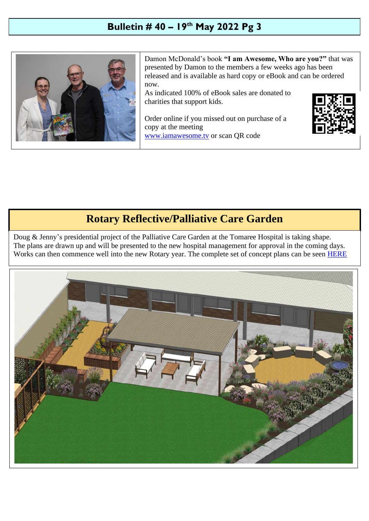### **Bulletin # 40 – 19 th May 2022 Pg 3**



Damon McDonald's book **"I am Awesome, Who are you?"** that was presented by Damon to the members a few weeks ago has been released and is available as hard copy or eBook and can be ordered now.

As indicated 100% of eBook sales are donated to charities that support kids.

Order online if you missed out on purchase of a copy at the meeting [www.iamawesome.tv](http://www.iamawesome.tv/) or scan QR code



### **Rotary Reflective/Palliative Care Garden**

Doug & Jenny's presidential project of the Palliative Care Garden at the Tomaree Hospital is taking shape. The plans are drawn up and will be presented to the new hospital management for approval in the coming days. Works can then commence well into the new Rotary year. The complete set of concept plans can be seen [HERE](https://drive.google.com/file/d/1ni32mfowhEv-VxV-bJ3WJjPUVVINWPdf/view?usp=sharing)